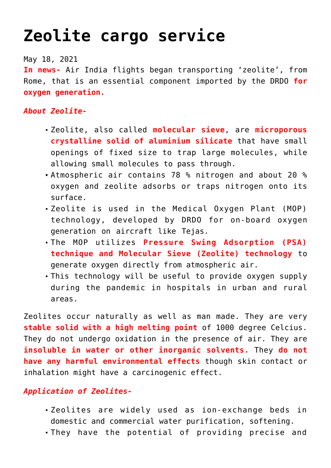## **[Zeolite cargo service](https://journalsofindia.com/zeolite-cargo-service/)**

May 18, 2021

**In news-** Air India flights began transporting 'zeolite', from Rome, that is an essential component imported by the DRDO **for oxygen generation.** 

## *About Zeolite-*

- Zeolite, also called **molecular sieve**, are **microporous crystalline solid of aluminium silicate** that have small openings of fixed size to trap large molecules, while allowing small molecules to pass through.
- Atmospheric air contains 78 % nitrogen and about 20 % oxygen and zeolite adsorbs or traps nitrogen onto its surface.
- Zeolite is used in the Medical Oxygen Plant (MOP) technology, developed by DRDO for on‐board oxygen generation on aircraft like Tejas.
- The MOP utilizes **Pressure Swing Adsorption (PSA) technique and Molecular Sieve (Zeolite) technology** to generate oxygen directly from atmospheric air.
- This technology will be useful to provide oxygen supply during the pandemic in hospitals in urban and rural areas.

Zeolites occur naturally as well as man made. They are very **stable solid with a high melting point** of 1000 degree Celcius. They do not undergo oxidation in the presence of air. They are **insoluble in water or other inorganic solvents.** They **do not have any harmful environmental effects** though skin contact or inhalation might have a carcinogenic effect.

## *Application of Zeolites-*

- Zeolites are widely used as ion-exchange beds in domestic and commercial water purification, softening.
- They have the potential of providing precise and